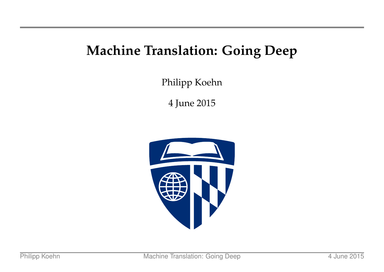#### **Machine Translation: Going Deep**

Philipp Koehn

4 June 2015

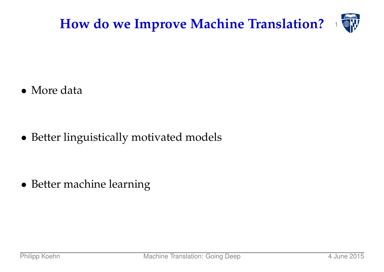

• More data

• Better linguistically motivated models

• Better machine learning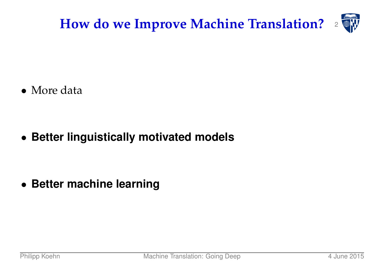

• More data

• **Better linguistically motivated models**

• **Better machine learning**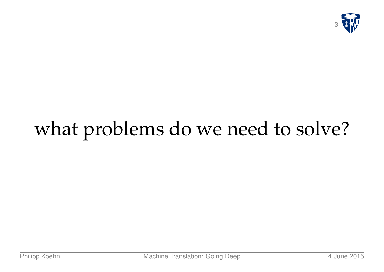

# what problems do we need to solve?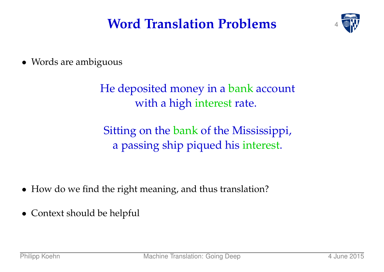#### **Word Translation Problems**



• Words are ambiguous

He deposited money in a bank account with a high interest rate.

Sitting on the bank of the Mississippi, a passing ship piqued his interest.

- How do we find the right meaning, and thus translation?
- Context should be helpful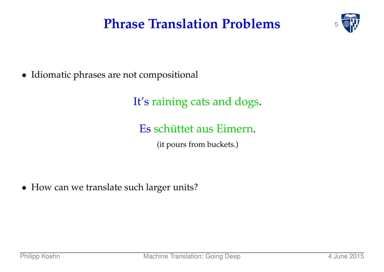#### **Phrase Translation Problems**



• Idiomatic phrases are not compositional

It's raining cats and dogs.

Es schüttet aus Eimern.

(it pours from buckets.)

• How can we translate such larger units?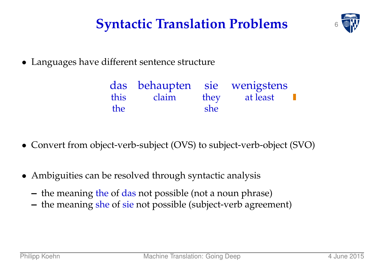## **Syntactic Translation Problems**



• Languages have different sentence structure

|     | das behaupten sie wenigstens |     |                                   |
|-----|------------------------------|-----|-----------------------------------|
|     |                              |     | this claim they at least <b>I</b> |
| the |                              | she |                                   |

- Convert from object-verb-subject (OVS) to subject-verb-object (SVO)
- Ambiguities can be resolved through syntactic analysis
	- **–** the meaning the of das not possible (not a noun phrase)
	- **–** the meaning she of sie not possible (subject-verb agreement)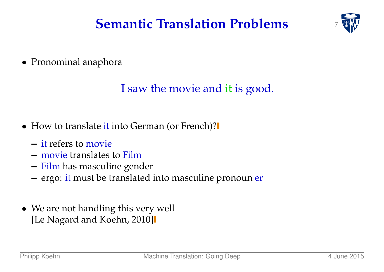#### **Semantic Translation Problems**



• Pronominal anaphora

#### I saw the movie and it is good.

- How to translate it into German (or French)?
	- **–** it refers to movie
	- **–** movie translates to Film
	- **–** Film has masculine gender
	- **–** ergo: it must be translated into masculine pronoun er
- We are not handling this very well [Le Nagard and Koehn, 2010]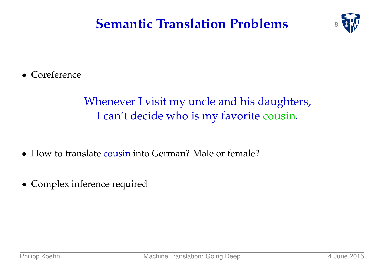#### **Semantic Translation Problems**



• Coreference

#### Whenever I visit my uncle and his daughters, I can't decide who is my favorite cousin.

- How to translate cousin into German? Male or female?
- Complex inference required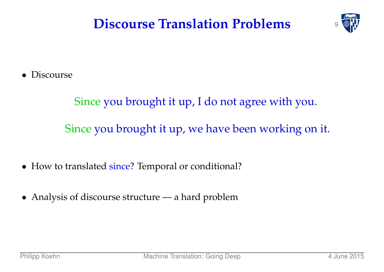#### **Discourse Translation Problems**



• Discourse

Since you brought it up, I do not agree with you.

Since you brought it up, we have been working on it.

- How to translated since? Temporal or conditional?
- Analysis of discourse structure a hard problem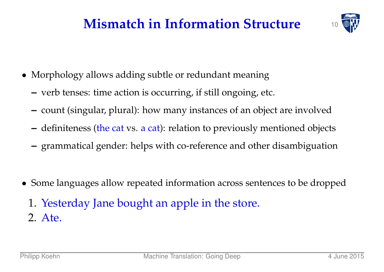#### **Mismatch in Information Structure**



- Morphology allows adding subtle or redundant meaning
	- **–** verb tenses: time action is occurring, if still ongoing, etc.
	- **–** count (singular, plural): how many instances of an object are involved
	- **–** definiteness (the cat vs. a cat): relation to previously mentioned objects
	- **–** grammatical gender: helps with co-reference and other disambiguation
- Some languages allow repeated information across sentences to be dropped
	- 1. Yesterday Jane bought an apple in the store.
	- 2. Ate.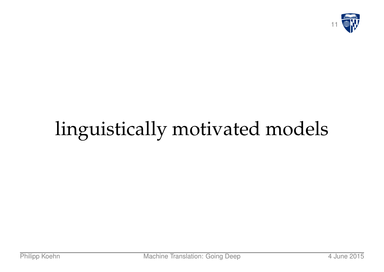

# linguistically motivated models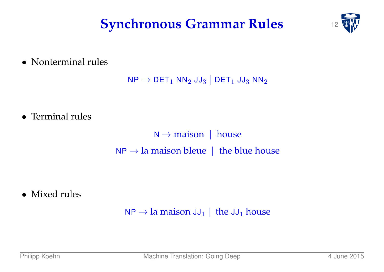#### **Synchronous Grammar Rules**



• Nonterminal rules

 $NP \rightarrow DET_1 NN_2 JJ_3 | DET_1 JJ_3 NN_2$ 

• Terminal rules

 $N \rightarrow$  maison | house  $NP \rightarrow la$  maison bleue | the blue house

• Mixed rules

 $NP \rightarrow la$  maison  $JJ_1$  | the  $JJ_1$  house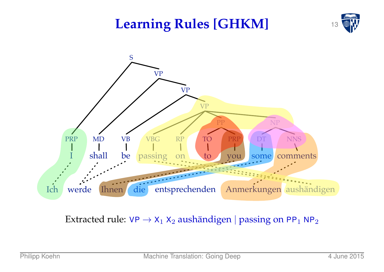#### **Learning Rules [GHKM]** 13





Extracted rule:  $VP \rightarrow X_1 X_2$  aushändigen | passing on PP<sub>1</sub> NP<sub>2</sub>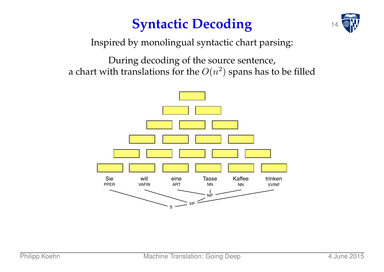#### **Syntactic Decoding**



Inspired by monolingual syntactic chart parsing:

During decoding of the source sentence, a chart with translations for the  $O(n^2)$  spans has to be filled

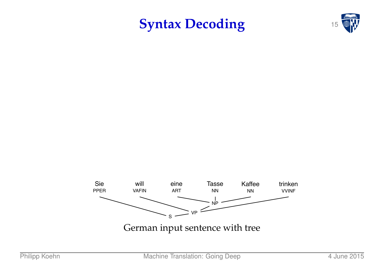



German input sentence with tree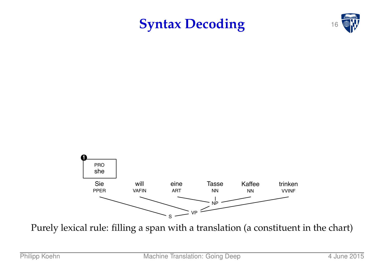



Purely lexical rule: filling a span with a translation (a constituent in the chart)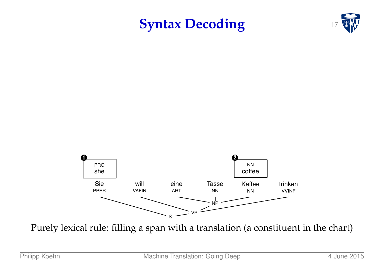



Purely lexical rule: filling a span with a translation (a constituent in the chart)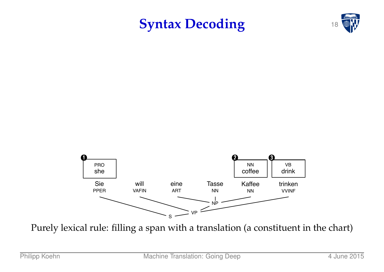



Purely lexical rule: filling a span with a translation (a constituent in the chart)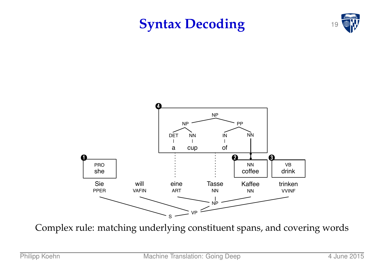



Complex rule: matching underlying constituent spans, and covering words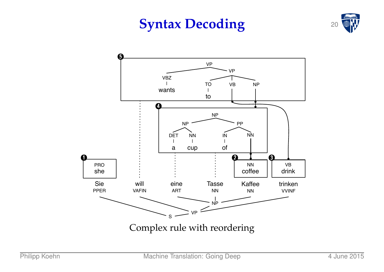



Complex rule with reordering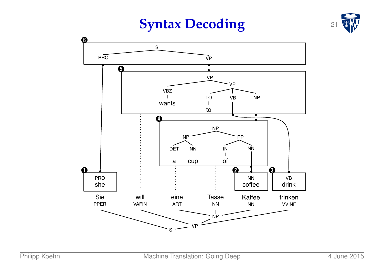![](_page_21_Picture_1.jpeg)

![](_page_21_Figure_2.jpeg)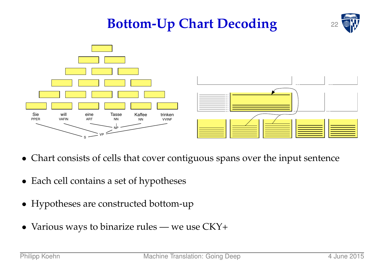![](_page_22_Figure_0.jpeg)

- Chart consists of cells that cover contiguous spans over the input sentence
- Each cell contains a set of hypotheses
- Hypotheses are constructed bottom-up
- Various ways to binarize rules we use CKY+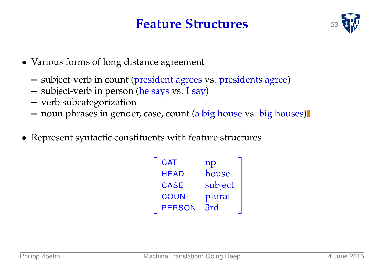#### **Feature Structures**

![](_page_23_Picture_1.jpeg)

- Various forms of long distance agreement
	- **–** subject-verb in count (president agrees vs. presidents agree)
	- **–** subject-verb in person (he says vs. I say)
	- **–** verb subcategorization
	- **–** noun phrases in gender, case, count (a big house vs. big houses)
- Represent syntactic constituents with feature structures

| <b>CAT</b>    | np      |
|---------------|---------|
| <b>HEAD</b>   | house   |
| <b>CASE</b>   | subject |
| <b>COUNT</b>  | plural  |
| <b>PERSON</b> | 3rd     |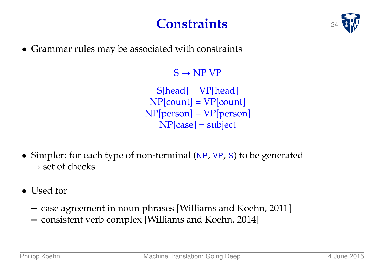#### **Constraints**

![](_page_24_Picture_1.jpeg)

• Grammar rules may be associated with constraints

#### $S \rightarrow NP VP$

 $S[head] = VP[head]$ NP[count] = VP[count] NP[person] = VP[person] NP[case] = subject

- Simpler: for each type of non-terminal (NP, VP, S) to be generated  $\rightarrow$  set of checks
- Used for
	- **–** case agreement in noun phrases [Williams and Koehn, 2011]
	- **–** consistent verb complex [Williams and Koehn, 2014]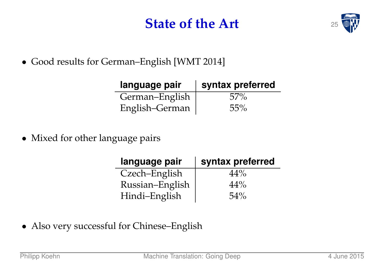#### **State of the Art**

![](_page_25_Picture_1.jpeg)

• Good results for German–English [WMT 2014]

| language pair  | syntax preferred |
|----------------|------------------|
| German-English | $57\%$           |
| English-German | 55%              |

• Mixed for other language pairs

| language pair   | syntax preferred |
|-----------------|------------------|
| Czech-English   | $44\%$           |
| Russian-English | 44%              |
| Hindi-English   | $54\%$           |

• Also very successful for Chinese-English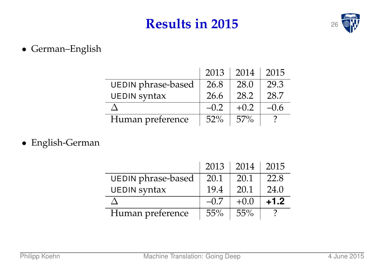#### **Results in 2015** 26

![](_page_26_Picture_1.jpeg)

• German–English

|                    | 2013   | 2014   | 2015   |
|--------------------|--------|--------|--------|
| UEDIN phrase-based | 26.8   | 28.0   | 29.3   |
| UEDIN syntax       | 26.6   | 28.2   | 28.7   |
|                    | $-0.2$ | $+0.2$ | $-0.6$ |
| Human preference   | $52\%$ | $57\%$ |        |

• English-German

|                           | $2013 \perp$ | 2014   | 2015   |
|---------------------------|--------------|--------|--------|
| <b>UEDIN</b> phrase-based | 20.1         | 20.1   | 22.8   |
| <b>UEDIN syntax</b>       | 19.4         | 20.1   | 24.0   |
|                           |              | $+0.0$ | $+1.2$ |
| Human preference          | 55%          | 55%    |        |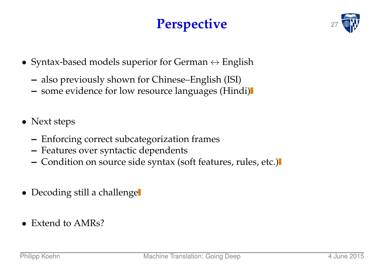## **Perspective**

![](_page_27_Picture_1.jpeg)

- Syntax-based models superior for German  $\leftrightarrow$  English
	- **–** also previously shown for Chinese–English (ISI)
	- **–** some evidence for low resource languages (Hindi)
- Next steps
	- **–** Enforcing correct subcategorization frames
	- **–** Features over syntactic dependents
	- **–** Condition on source side syntax (soft features, rules, etc.)
- Decoding still a challenge
- Extend to AMRs?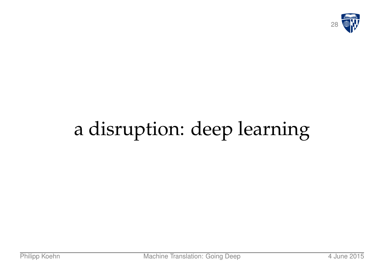![](_page_28_Picture_0.jpeg)

# a disruption: deep learning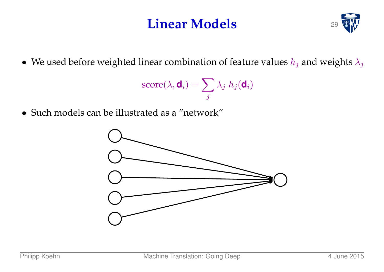#### **Linear Models**

![](_page_29_Picture_1.jpeg)

• We used before weighted linear combination of feature values  $h_j$  and weights  $\lambda_j$ 

$$
\text{score}(\lambda, \mathbf{d}_i) = \sum_j \lambda_j \; h_j(\mathbf{d}_i)
$$

• Such models can be illustrated as a "network"

![](_page_29_Figure_5.jpeg)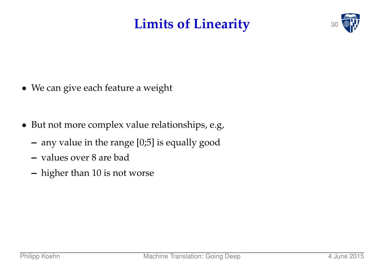## **Limits of Linearity**

![](_page_30_Picture_1.jpeg)

- We can give each feature a weight
- But not more complex value relationships, e.g,
	- **–** any value in the range [0;5] is equally good
	- **–** values over 8 are bad
	- **–** higher than 10 is not worse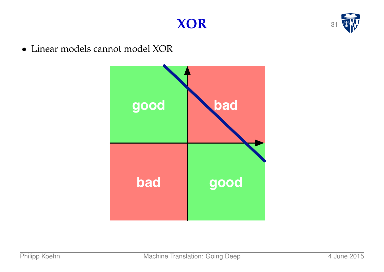![](_page_31_Picture_1.jpeg)

• Linear models cannot model XOR

![](_page_31_Figure_3.jpeg)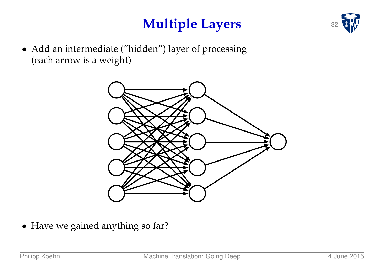## **Multiple Layers**

![](_page_32_Picture_1.jpeg)

• Add an intermediate ("hidden") layer of processing (each arrow is a weight)

![](_page_32_Picture_3.jpeg)

• Have we gained anything so far?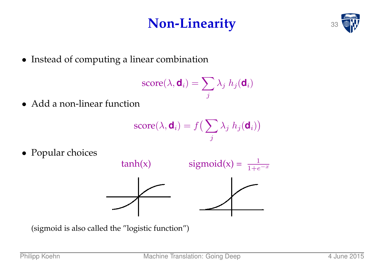## **Non-Linearity**

![](_page_33_Picture_1.jpeg)

• Instead of computing a linear combination

$$
\text{score}(\lambda, \mathbf{d}_i) = \sum_j \lambda_j \ h_j(\mathbf{d}_i)
$$

• Add a non-linear function

$$
score(\lambda, \mathbf{d}_i) = f\left(\sum_j \lambda_j h_j(\mathbf{d}_i)\right)
$$

• Popular choices

![](_page_33_Figure_7.jpeg)

(sigmoid is also called the "logistic function")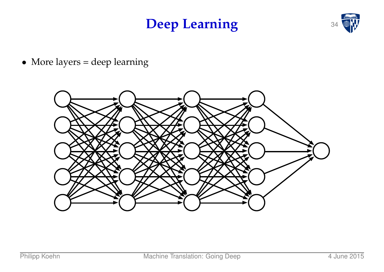#### **Deep Learning**

![](_page_34_Picture_1.jpeg)

• More layers = deep learning

![](_page_34_Figure_3.jpeg)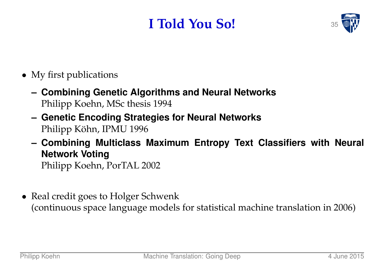#### **I Told You So!**

![](_page_35_Picture_1.jpeg)

- My first publications
	- **– Combining Genetic Algorithms and Neural Networks** Philipp Koehn, MSc thesis 1994
	- **– Genetic Encoding Strategies for Neural Networks** Philipp Köhn, IPMU 1996
	- **– Combining Multiclass Maximum Entropy Text Classifiers with Neural Network Voting** Philipp Koehn, PorTAL 2002
- Real credit goes to Holger Schwenk (continuous space language models for statistical machine translation in 2006)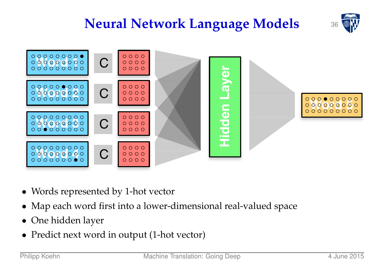![](_page_36_Figure_0.jpeg)

- Words represented by 1-hot vector
- Map each word first into a lower-dimensional real-valued space
- One hidden layer
- Predict next word in output (1-hot vector)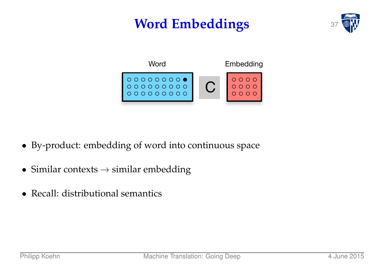## **Word Embeddings**

![](_page_37_Picture_1.jpeg)

![](_page_37_Figure_2.jpeg)

- By-product: embedding of word into continuous space
- Similar contexts  $\rightarrow$  similar embedding
- Recall: distributional semantics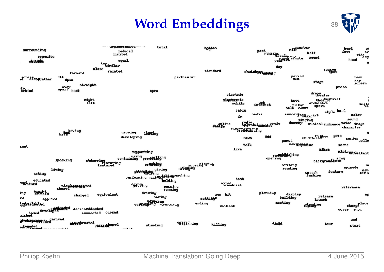#### **Word Embeddings** 38

![](_page_38_Picture_1.jpeg)

| surrounding<br>opposite<br>outside                                                                    |                                    | limited                                         | Improvements of The Party<br>reduced<br>equal | total                                       |                       | <b>hattom</b>      |                       | past                                                    | mil@uarter<br>mmoens<br>decade<br>year th mmute | half<br>round                                         | head<br>жj<br>face<br>ar<br>side<br>edg<br>hand<br>c |
|-------------------------------------------------------------------------------------------------------|------------------------------------|-------------------------------------------------|-----------------------------------------------|---------------------------------------------|-----------------------|--------------------|-----------------------|---------------------------------------------------------|-------------------------------------------------|-------------------------------------------------------|------------------------------------------------------|
| a <sup>cro</sup> atobeyether                                                                          | forward<br>off<br>фтут<br>straight | key<br>Similar<br>close<br>related              |                                               |                                             | particular            | standard           |                       | chunting Smighty                                        | day<br>period<br>era                            | season<br>stage                                       | room<br>box<br>screen                                |
| nto<br>behind                                                                                         | $_{\rm apart}^{\rm away}$ back     |                                                 |                                               | open                                        |                       |                    | electric<br>dictionic |                                                         | bass                                            | drana<br>theater<br>theatestival                      | press<br>è                                           |
|                                                                                                       | right<br>left                      |                                                 |                                               |                                             |                       |                    | mobile<br>cable<br>fm | internet<br>media                                       | quitar<br>soló piano                            | orchestra<br>opera<br>style band<br>concertaggesicart | scale<br>color                                       |
|                                                                                                       | have baving                        |                                                 | growing                                       | <b>1458 mg</b>                              |                       |                    | daily line            | tadio<br>televisigmide <sup>80</sup><br>entertailenethy | demostly<br>comic                               | singing                                               | sound<br>musical audience voice image<br>character   |
| sent                                                                                                  |                                    |                                                 | developing                                    |                                             |                       |                    | live                  | ddd<br>news<br>talk                                     | quest<br>new <del>s man M</del> ine             | studioovilehow                                        | qame<br>series <sub>colle</sub><br>scene             |
|                                                                                                       | speaking                           | s <del>tahami</del> ng<br>featuring<br>featured | supporting<br>using<br>containing producting  | creating                                    |                       |                    |                       |                                                         | redtheing<br>opening                            | adban<br>backgrouf eme                                | pletommeltext                                        |
| acting<br>educated                                                                                    | living                             |                                                 | performing leaving to thing eaching           | pobloging giving                            | 18SHMJ <sup>ing</sup> | scoringaying       | host                  |                                                         | writing<br>reading                              | speech<br>fashion                                     | WC<br>episode<br>title<br>feature                    |
| <i>med</i> ained<br>taughta                                                                           | mixed shared<br>shared             |                                                 | dgätting                                      | driving                                     | passing<br>running    |                    | aired<br>broadcast    | plaming                                                 |                                                 |                                                       | reference                                            |
| ing<br>ed<br>applied<br><b>Saikei-lahle</b> d                                                         | charged<br>dedicatediached         | equivalent                                      |                                               | moving<br>gdinizing<br>workending returning |                       | settingt<br>ending | run hit<br>shoteast   |                                                         | لاهلوكنة<br>building<br>meeting                 | release<br>launch<br>f Milding                        | toi<br>$ch{arg}$ e $\frac{p}{2}$                     |
| e <del>Axira</del> drd<br>based <sup>developed<br/>uished</sup><br>ated discussed derived<br>sehemded | <b>biometructed</b>                | connected closed<br>chichle Paped               | $-2.21$                                       | standing                                    | <b>CBEGYHning</b>     |                    | killing               |                                                         | theint                                          | tour                                                  | cover turn<br>end<br>start                           |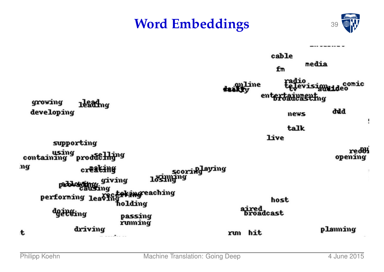#### **Word Embeddings**

![](_page_39_Picture_1.jpeg)

![](_page_39_Figure_2.jpeg)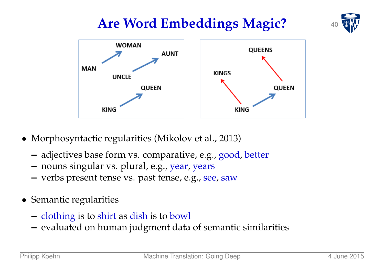![](_page_40_Picture_0.jpeg)

![](_page_40_Figure_1.jpeg)

- Morphosyntactic regularities (Mikolov et al., 2013)
	- **–** adjectives base form vs. comparative, e.g., good, better
	- **–** nouns singular vs. plural, e.g., year, years
	- **–** verbs present tense vs. past tense, e.g., see, saw
- Semantic regularities
	- **–** clothing is to shirt as dish is to bowl
	- **–** evaluated on human judgment data of semantic similarities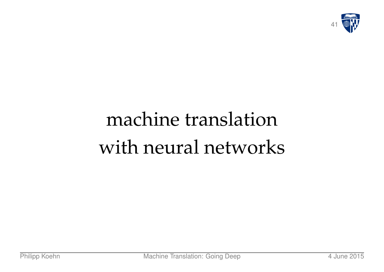![](_page_41_Picture_0.jpeg)

# machine translation with neural networks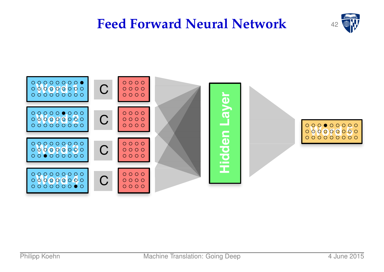#### **Feed Forward Neural Network**

![](_page_42_Figure_1.jpeg)

![](_page_42_Figure_2.jpeg)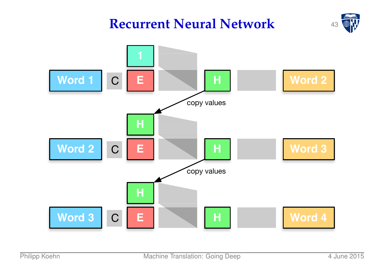#### **Recurrent Neural Network** 43

![](_page_43_Picture_1.jpeg)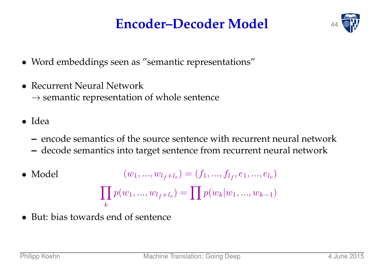#### **Encoder–Decoder Model**

![](_page_44_Picture_1.jpeg)

- Word embeddings seen as "semantic representations"
- Recurrent Neural Network  $\rightarrow$  semantic representation of whole sentence
- Idea
	- **–** encode semantics of the source sentence with recurrent neural network
	- **–** decode semantics into target sentence from recurrent neural network
- Model  $(w_1, ..., w_{l_f+l_e}) = (f_1, ..., f_{l_f}, e_1, ..., e_{l_e})$  $\prod p(w_1, ..., w_{l_f+l_e}) = \prod p(w_k|w_1, ..., w_{k-1})$  $\boldsymbol{k}$
- But: bias towards end of sentence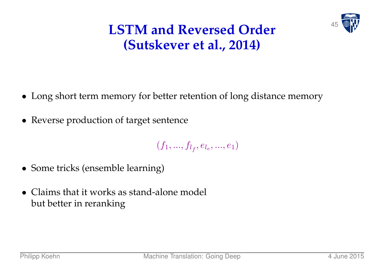![](_page_45_Picture_0.jpeg)

#### **LSTM and Reversed Order (Sutskever et al., 2014)**

- Long short term memory for better retention of long distance memory
- Reverse production of target sentence

 $(f_1, ..., f_{l_f}, e_{l_e}, ..., e_1)$ 

- Some tricks (ensemble learning)
- Claims that it works as stand-alone model but better in reranking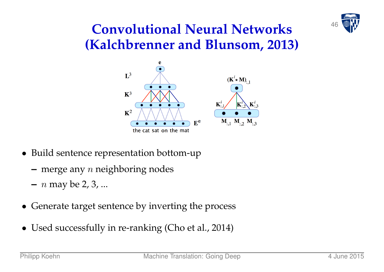![](_page_46_Picture_0.jpeg)

#### <sup>46</sup> **Convolutional Neural Networks (Kalchbrenner and Blunsom, 2013)**

![](_page_46_Figure_2.jpeg)

- Build sentence representation bottom-up
	- **–** merge any n neighboring nodes
	- **–** n may be 2, 3, ...
- Generate target sentence by inverting the process
- Used successfully in re-ranking (Cho et al., 2014)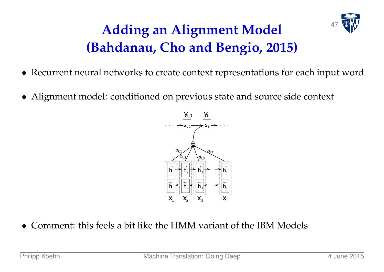![](_page_47_Picture_0.jpeg)

## **Adding an Alignment Model (Bahdanau, Cho and Bengio, 2015)**

- Recurrent neural networks to create context representations for each input word
- Alignment model: conditioned on previous state and source side context

![](_page_47_Figure_4.jpeg)

• Comment: this feels a bit like the HMM variant of the IBM Models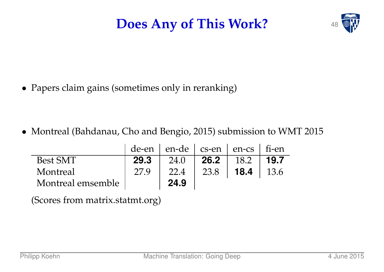#### **Does Any of This Work?**

![](_page_48_Picture_1.jpeg)

• Papers claim gains (sometimes only in reranking)

• Montreal (Bahdanau, Cho and Bengio, 2015) submission to WMT 2015

|                   |      | $de-en$   en-de   cs-en   en-cs   fi-en |      |                    |      |
|-------------------|------|-----------------------------------------|------|--------------------|------|
| <b>Best SMT</b>   | 29.3 | 24.0                                    | 26.2 | 18.2               | 19.7 |
| Montreal          |      | 22.4                                    | 23.8 | <b>18.4</b>   13.6 |      |
| Montreal emsemble |      | 24.9                                    |      |                    |      |

(Scores from matrix.statmt.org)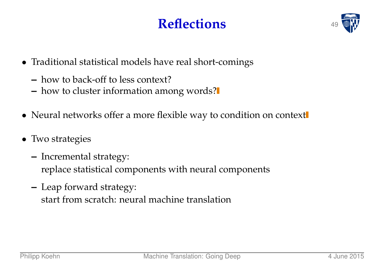#### $Reflections$

![](_page_49_Picture_1.jpeg)

- Traditional statistical models have real short-comings
	- **–** how to back-off to less context?
	- **–** how to cluster information among words?
- Neural networks offer a more flexible way to condition on context
- Two strategies
	- **–** Incremental strategy: replace statistical components with neural components
	- **–** Leap forward strategy: start from scratch: neural machine translation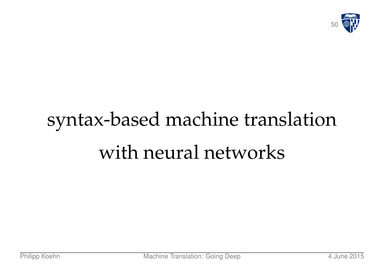![](_page_50_Picture_0.jpeg)

# syntax-based machine translation with neural networks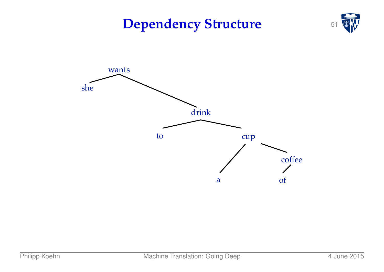#### **Dependency Structure** 51

![](_page_51_Picture_1.jpeg)

![](_page_51_Figure_2.jpeg)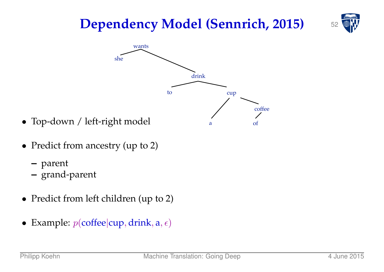![](_page_52_Figure_0.jpeg)

- Predict from left children (up to 2)
- Example:  $p(\text{cofree}|\text{cup}, \text{drink}, a, \epsilon)$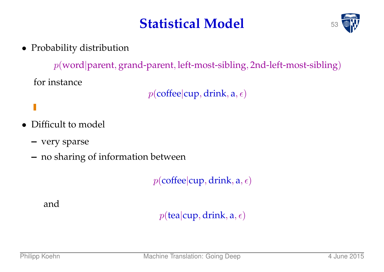#### **Statistical Model**

![](_page_53_Picture_1.jpeg)

• Probability distribution

p(word|parent, grand-parent, left-most-sibling, 2nd-left-most-sibling) for instance

 $p(\text{cofree}|\text{cup}, \text{drink}, a, \epsilon)$ 

- Difficult to model
	- **–** very sparse
	- **–** no sharing of information between

 $p(\text{cofree}|\text{cup}, \text{drink}, a, \epsilon)$ 

and

 $p(\text{tea}| \text{cup}, \text{drink}, a, \epsilon)$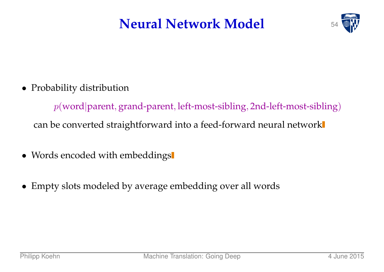#### **Neural Network Model**

![](_page_54_Picture_1.jpeg)

• Probability distribution

p(word|parent, grand-parent, left-most-sibling, 2nd-left-most-sibling) can be converted straightforward into a feed-forward neural network

- Words encoded with embeddings
- Empty slots modeled by average embedding over all words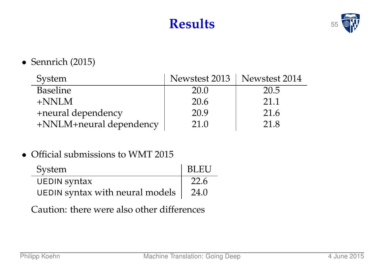#### **Results**

![](_page_55_Picture_1.jpeg)

#### • Sennrich (2015)

| System                  | Newstest 2013   Newstest 2014 |      |
|-------------------------|-------------------------------|------|
| <b>Baseline</b>         | 20.0                          | 20.5 |
| $+$ NNLM                | 20.6                          | 21.1 |
| +neural dependency      | 20.9                          | 21.6 |
| +NNLM+neural dependency | 21.0                          | 21.8 |

#### • Official submissions to WMT 2015

| System                                       | BLEU |
|----------------------------------------------|------|
| <b>UEDIN</b> syntax                          | 22.6 |
| UEDIN syntax with neural models $\vert$ 24.0 |      |

Caution: there were also other differences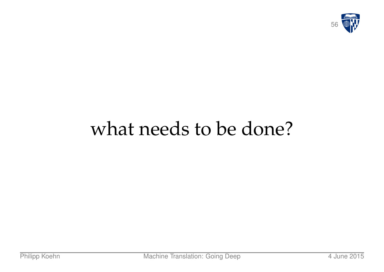![](_page_56_Picture_0.jpeg)

# what needs to be done?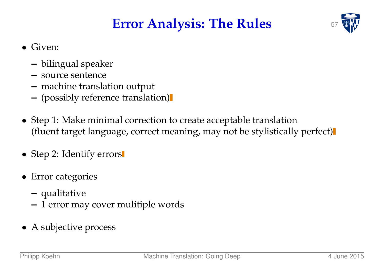## **Error Analysis: The Rules**

![](_page_57_Picture_1.jpeg)

- Given:
	- **–** bilingual speaker
	- **–** source sentence
	- **–** machine translation output
	- **–** (possibly reference translation)
- Step 1: Make minimal correction to create acceptable translation (fluent target language, correct meaning, may not be stylistically perfect)
- Step 2: Identify errors
- Error categories
	- **–** qualitative
	- **–** 1 error may cover mulitiple words
- A subjective process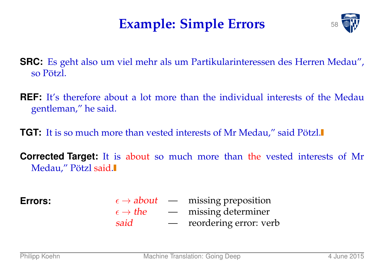#### **Example: Simple Errors**

![](_page_58_Picture_1.jpeg)

- **SRC:** Es geht also um viel mehr als um Partikularinteressen des Herren Medau", so Pötzl.
- **REF:** It's therefore about a lot more than the individual interests of the Medau gentleman," he said.
- **TGT:** It is so much more than vested interests of Mr Medau," said Pötzl.

**Corrected Target:** It is about so much more than the vested interests of Mr Medau," Pötzl said.

| <b>Errors:</b> |                            | $\epsilon \rightarrow about$ — missing preposition |
|----------------|----------------------------|----------------------------------------------------|
|                | $\epsilon \rightarrow the$ | — missing determiner                               |
|                | said                       | — reordering error: verb                           |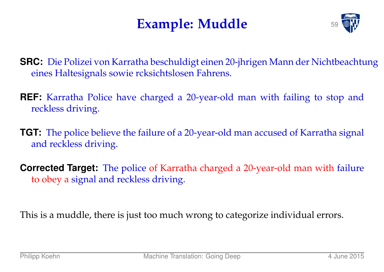## **Example: Muddle**

![](_page_59_Picture_1.jpeg)

- **SRC:** Die Polizei von Karratha beschuldigt einen 20-jhrigen Mann der Nichtbeachtung eines Haltesignals sowie rcksichtslosen Fahrens.
- **REF:** Karratha Police have charged a 20-year-old man with failing to stop and reckless driving.
- **TGT:** The police believe the failure of a 20-year-old man accused of Karratha signal and reckless driving.
- **Corrected Target:** The police of Karratha charged a 20-year-old man with failure to obey a signal and reckless driving.

This is a muddle, there is just too much wrong to categorize individual errors.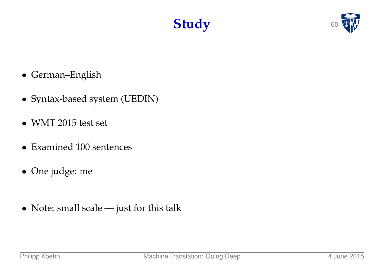![](_page_60_Picture_1.jpeg)

- German–English
- Syntax-based system (UEDIN)
- WMT 2015 test set
- Examined 100 sentences
- One judge: me
- Note: small scale just for this talk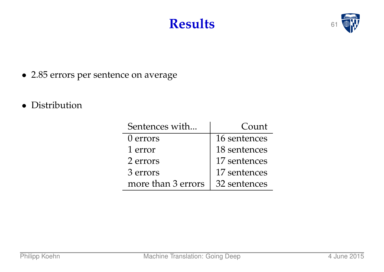#### **Results** 61

![](_page_61_Picture_1.jpeg)

• 2.85 errors per sentence on average

 $\overline{\phantom{0}}$ 

• Distribution

| Sentences with     | Count        |
|--------------------|--------------|
| 0 errors           | 16 sentences |
| 1 error            | 18 sentences |
| 2 errors           | 17 sentences |
| 3 errors           | 17 sentences |
| more than 3 errors | 32 sentences |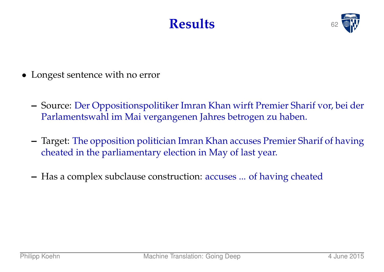#### **Results**

![](_page_62_Picture_1.jpeg)

- Longest sentence with no error
	- **–** Source: Der Oppositionspolitiker Imran Khan wirft Premier Sharif vor, bei der Parlamentswahl im Mai vergangenen Jahres betrogen zu haben.
	- **–** Target: The opposition politician Imran Khan accuses Premier Sharif of having cheated in the parliamentary election in May of last year.
	- **–** Has a complex subclause construction: accuses ... of having cheated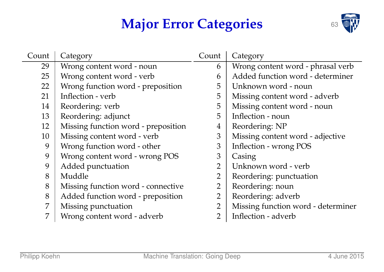## **Major Error Categories** 63

![](_page_63_Picture_1.jpeg)

| Count          | Category                            | Count          | Category                           |
|----------------|-------------------------------------|----------------|------------------------------------|
| 29             | Wrong content word - noun           | 6              | Wrong content word - phrasal verb  |
| 25             | Wrong content word - verb           | 6              | Added function word - determiner   |
| 22             | Wrong function word - preposition   | 5              | Unknown word - noun                |
| 21             | Inflection - verb                   | 5              | Missing content word - adverb      |
| 14             | Reordering: verb                    | 5              | Missing content word - noun        |
| 13             | Reordering: adjunct                 | 5              | Inflection - noun                  |
| 12             | Missing function word - preposition | $\overline{4}$ | Reordering: NP                     |
| 10             | Missing content word - verb         | 3              | Missing content word - adjective   |
| 9              | Wrong function word - other         | 3              | Inflection - wrong POS             |
| 9              | Wrong content word - wrong POS      | 3              | Casing                             |
| 9              | Added punctuation                   | $\overline{2}$ | Unknown word - verb                |
| 8              | Muddle                              | $\overline{2}$ | Reordering: punctuation            |
| 8              | Missing function word - connective  | 2              | Reordering: noun                   |
| 8              | Added function word - preposition   | $\overline{2}$ | Reordering: adverb                 |
| $\overline{7}$ | Missing punctuation                 | $\overline{2}$ | Missing function word - determiner |
| $\overline{7}$ | Wrong content word - adverb         | 2              | Inflection - adverb                |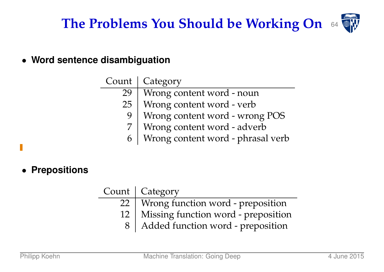![](_page_64_Picture_0.jpeg)

• **Word sentence disambiguation**

|    | Count   Category                  |
|----|-----------------------------------|
| 29 | Wrong content word - noun         |
| 25 | Wrong content word - verb         |
| 9  | Wrong content word - wrong POS    |
|    | Wrong content word - adverb       |
| 6  | Wrong content word - phrasal verb |

• **Prepositions**

| Count   Category                         |
|------------------------------------------|
| 22   Wrong function word - preposition   |
| 12   Missing function word - preposition |
| Added function word - preposition        |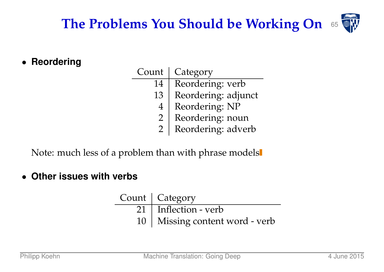#### **The Problems You Should be Working On** 65

![](_page_65_Picture_2.jpeg)

| Count            | Category            |
|------------------|---------------------|
| 14               | Reordering: verb    |
| 13               | Reordering: adjunct |
| $\boldsymbol{4}$ | Reordering: NP      |
| $\overline{2}$   | Reordering: noun    |
|                  | Reordering: adverb  |

Note: much less of a problem than with phrase models

• **Other issues with verbs**

| Count   Category                 |
|----------------------------------|
| 21   Inflection - verb           |
| 10   Missing content word - verb |

![](_page_65_Picture_9.jpeg)